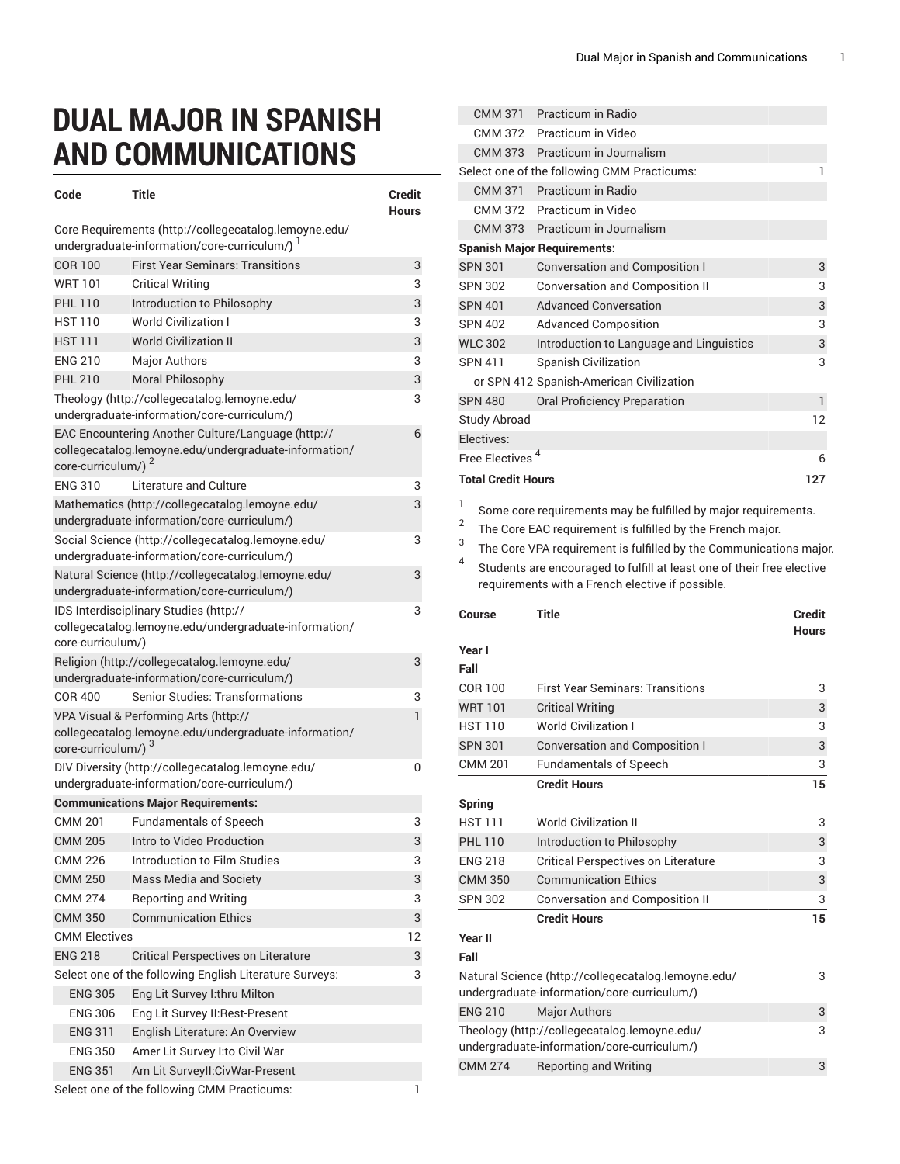## **DUAL MAJOR IN SPANISH AND COMMUNICATIONS**

| Code                                                                                                                                          | <b>Title</b>                                                                                           | Credit<br><b>Hours</b> |
|-----------------------------------------------------------------------------------------------------------------------------------------------|--------------------------------------------------------------------------------------------------------|------------------------|
|                                                                                                                                               | Core Requirements (http://collegecatalog.lemoyne.edu/<br>undergraduate-information/core-curriculum/) 1 |                        |
| <b>COR 100</b>                                                                                                                                | <b>First Year Seminars: Transitions</b>                                                                | 3                      |
| <b>WRT101</b>                                                                                                                                 | <b>Critical Writing</b>                                                                                | 3                      |
| <b>PHL 110</b>                                                                                                                                | Introduction to Philosophy                                                                             | 3                      |
| <b>HST 110</b>                                                                                                                                | <b>World Civilization I</b>                                                                            | 3                      |
| HST 111                                                                                                                                       | <b>World Civilization II</b>                                                                           | 3                      |
| <b>FNG 210</b>                                                                                                                                | <b>Major Authors</b>                                                                                   | 3                      |
| <b>PHL 210</b>                                                                                                                                | Moral Philosophy                                                                                       | 3                      |
|                                                                                                                                               | Theology (http://collegecatalog.lemoyne.edu/                                                           | 3                      |
|                                                                                                                                               | undergraduate-information/core-curriculum/)                                                            |                        |
| EAC Encountering Another Culture/Language (http://<br>collegecatalog.lemoyne.edu/undergraduate-information/<br>core-curriculum/) <sup>2</sup> |                                                                                                        |                        |
| <b>FNG 310</b>                                                                                                                                | Literature and Culture                                                                                 | 3                      |
|                                                                                                                                               | Mathematics (http://collegecatalog.lemoyne.edu/<br>undergraduate-information/core-curriculum/)         | 3                      |
|                                                                                                                                               | Social Science (http://collegecatalog.lemoyne.edu/<br>undergraduate-information/core-curriculum/)      | 3                      |
| Natural Science (http://collegecatalog.lemoyne.edu/<br>undergraduate-information/core-curriculum/)                                            |                                                                                                        |                        |
| IDS Interdisciplinary Studies (http://<br>3<br>collegecatalog.lemoyne.edu/undergraduate-information/<br>core-curriculum/)                     |                                                                                                        |                        |
|                                                                                                                                               | Religion (http://collegecatalog.lemoyne.edu/<br>undergraduate-information/core-curriculum/)            | 3                      |
| COR 400                                                                                                                                       | <b>Senior Studies: Transformations</b>                                                                 | 3                      |
| $\mathbf{1}$<br>VPA Visual & Performing Arts (http://                                                                                         |                                                                                                        |                        |
| core-curriculum/) <sup>3</sup>                                                                                                                | collegecatalog.lemoyne.edu/undergraduate-information/                                                  |                        |
| DIV Diversity (http://collegecatalog.lemoyne.edu/<br>undergraduate-information/core-curriculum/)                                              |                                                                                                        |                        |
|                                                                                                                                               | <b>Communications Major Requirements:</b>                                                              |                        |
| <b>CMM 201</b>                                                                                                                                | <b>Fundamentals of Speech</b>                                                                          | 3                      |
| <b>CMM 205</b>                                                                                                                                | Intro to Video Production                                                                              | 3                      |
| <b>CMM 226</b>                                                                                                                                | Introduction to Film Studies                                                                           | 3                      |
| <b>CMM 250</b>                                                                                                                                | <b>Mass Media and Society</b>                                                                          | 3                      |
| CMM 274                                                                                                                                       | <b>Reporting and Writing</b>                                                                           | 3                      |
| <b>CMM 350</b>                                                                                                                                | <b>Communication Ethics</b>                                                                            | 3                      |
| <b>CMM Electives</b>                                                                                                                          |                                                                                                        | 12                     |
| <b>ENG 218</b>                                                                                                                                | <b>Critical Perspectives on Literature</b>                                                             | 3                      |
| Select one of the following English Literature Surveys:<br>3                                                                                  |                                                                                                        |                        |
| <b>ENG 305</b>                                                                                                                                | Eng Lit Survey I:thru Milton                                                                           |                        |
| <b>ENG 306</b>                                                                                                                                | Eng Lit Survey II: Rest-Present                                                                        |                        |
| <b>ENG 311</b>                                                                                                                                | English Literature: An Overview                                                                        |                        |
| <b>ENG 350</b>                                                                                                                                | Amer Lit Survey I:to Civil War                                                                         |                        |
| <b>ENG 351</b>                                                                                                                                | Am Lit SurveyII: CivWar-Present                                                                        |                        |
|                                                                                                                                               | Select one of the following CMM Practicums:                                                            | 1                      |

|             |                                   |                                                                                                                                                                                                                                                                                | <b>Hours</b> |
|-------------|-----------------------------------|--------------------------------------------------------------------------------------------------------------------------------------------------------------------------------------------------------------------------------------------------------------------------------|--------------|
| 2<br>3<br>4 | Course                            | The Core EAC requirement is fulfilled by the French major.<br>The Core VPA requirement is fulfilled by the Communications major.<br>Students are encouraged to fulfill at least one of their free elective<br>requirements with a French elective if possible.<br><b>Title</b> | Credit       |
| 1           |                                   | Some core requirements may be fulfilled by major requirements.                                                                                                                                                                                                                 |              |
|             | <b>Total Credit Hours</b>         |                                                                                                                                                                                                                                                                                | 127          |
|             | Free Electives <sup>4</sup>       |                                                                                                                                                                                                                                                                                | 6            |
|             | <b>Study Abroad</b><br>Electives: |                                                                                                                                                                                                                                                                                | 12           |
|             | <b>SPN 480</b>                    | <b>Oral Proficiency Preparation</b>                                                                                                                                                                                                                                            | $\mathbf{1}$ |
|             |                                   | or SPN 412 Spanish-American Civilization                                                                                                                                                                                                                                       |              |
|             | <b>SPN 411</b>                    | <b>Spanish Civilization</b>                                                                                                                                                                                                                                                    | 3            |
|             | <b>WLC 302</b>                    | Introduction to Language and Linguistics                                                                                                                                                                                                                                       | 3            |
|             | <b>SPN 402</b>                    | <b>Advanced Composition</b>                                                                                                                                                                                                                                                    | 3            |
|             | <b>SPN 401</b>                    | <b>Advanced Conversation</b>                                                                                                                                                                                                                                                   | 3            |
|             | <b>SPN 302</b>                    | <b>Conversation and Composition II</b>                                                                                                                                                                                                                                         | 3            |
|             | <b>SPN 301</b>                    | <b>Conversation and Composition I</b>                                                                                                                                                                                                                                          | 3            |
|             |                                   | <b>Spanish Major Requirements:</b>                                                                                                                                                                                                                                             |              |
|             | CMM 373                           | Practicum in Journalism                                                                                                                                                                                                                                                        |              |
|             | CMM 372                           | Practicum in Video                                                                                                                                                                                                                                                             |              |
|             | <b>CMM 371</b>                    | Practicum in Radio                                                                                                                                                                                                                                                             |              |
|             | <b>CMM 373</b>                    | Practicum in Journalism<br>Select one of the following CMM Practicums:                                                                                                                                                                                                         | 1            |
|             | CMM 372                           | Practicum in Video                                                                                                                                                                                                                                                             |              |
|             | <b>CMM 371</b>                    | Practicum in Radio                                                                                                                                                                                                                                                             |              |

## **Year I**

| Fall                                               |                                                                                                    |    |
|----------------------------------------------------|----------------------------------------------------------------------------------------------------|----|
| <b>First Year Seminars: Transitions</b><br>COR 100 |                                                                                                    | 3  |
| <b>WRT101</b>                                      | <b>Critical Writing</b>                                                                            | 3  |
| <b>HST 110</b>                                     | <b>World Civilization I</b>                                                                        | 3  |
| <b>SPN 301</b>                                     | <b>Conversation and Composition I</b>                                                              | 3  |
| <b>CMM 201</b>                                     | <b>Fundamentals of Speech</b>                                                                      | 3  |
|                                                    | <b>Credit Hours</b>                                                                                | 15 |
| <b>Spring</b>                                      |                                                                                                    |    |
| <b>HST 111</b>                                     | <b>World Civilization II</b>                                                                       | 3  |
| <b>PHL 110</b>                                     | Introduction to Philosophy                                                                         | 3  |
| <b>ENG 218</b>                                     | <b>Critical Perspectives on Literature</b>                                                         | 3  |
| <b>CMM 350</b>                                     | <b>Communication Ethics</b>                                                                        | 3  |
| <b>SPN 302</b>                                     | <b>Conversation and Composition II</b>                                                             | 3  |
|                                                    | <b>Credit Hours</b>                                                                                | 15 |
| <b>Year II</b>                                     |                                                                                                    |    |
| Fall                                               |                                                                                                    |    |
|                                                    | Natural Science (http://collegecatalog.lemoyne.edu/<br>undergraduate-information/core-curriculum/) | 3  |
| <b>ENG 210</b>                                     | <b>Major Authors</b>                                                                               | 3  |
|                                                    | Theology (http://collegecatalog.lemoyne.edu/<br>undergraduate-information/core-curriculum/)        | 3  |
| <b>CMM 274</b>                                     | <b>Reporting and Writing</b>                                                                       | 3  |